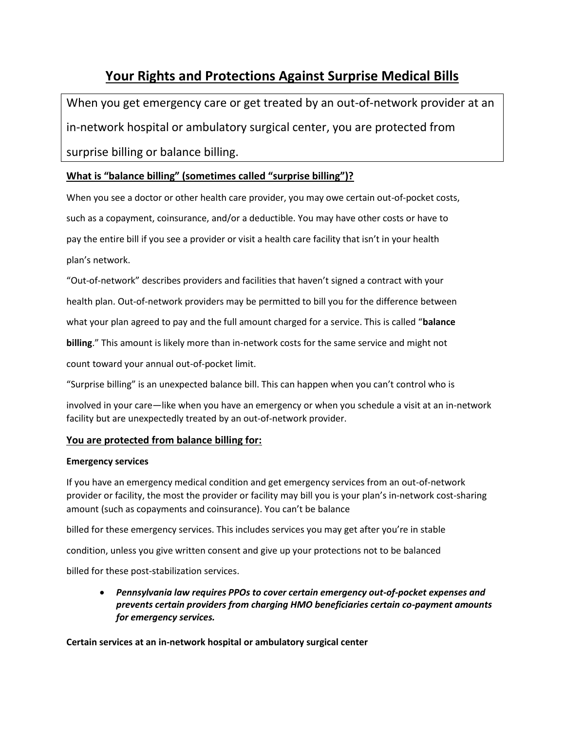# **Your Rights and Protections Against Surprise Medical Bills**

When you get emergency care or get treated by an out-of-network provider at an in-network hospital or ambulatory surgical center, you are protected from surprise billing or balance billing.

## **What is "balance billing" (sometimes called "surprise billing")?**

When you see a doctor or other health care provider, you may owe certain out-of-pocket costs, such as a copayment, coinsurance, and/or a deductible. You may have other costs or have to pay the entire bill if you see a provider or visit a health care facility that isn't in your health plan's network.

"Out-of-network" describes providers and facilities that haven't signed a contract with your

health plan. Out-of-network providers may be permitted to bill you for the difference between

what your plan agreed to pay and the full amount charged for a service. This is called "**balance**

**billing**." This amount is likely more than in-network costs for the same service and might not

count toward your annual out-of-pocket limit.

"Surprise billing" is an unexpected balance bill. This can happen when you can't control who is

involved in your care—like when you have an emergency or when you schedule a visit at an in-network facility but are unexpectedly treated by an out-of-network provider.

### **You are protected from balance billing for:**

#### **Emergency services**

If you have an emergency medical condition and get emergency services from an out-of-network provider or facility, the most the provider or facility may bill you is your plan's in-network cost-sharing amount (such as copayments and coinsurance). You can't be balance

billed for these emergency services. This includes services you may get after you're in stable

condition, unless you give written consent and give up your protections not to be balanced

billed for these post-stabilization services.

• *Pennsylvania law requires PPOs to cover certain emergency out-of-pocket expenses and prevents certain providers from charging HMO beneficiaries certain co-payment amounts for emergency services.*

**Certain services at an in-network hospital or ambulatory surgical center**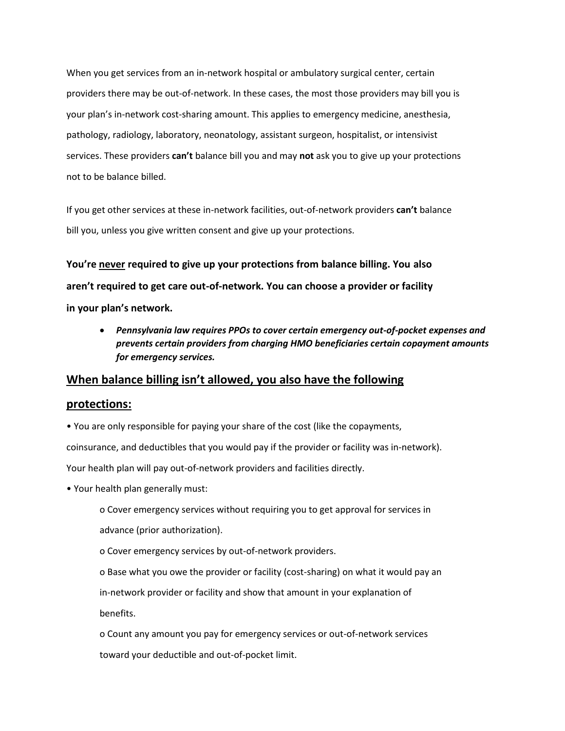When you get services from an in-network hospital or ambulatory surgical center, certain providers there may be out-of-network. In these cases, the most those providers may bill you is your plan's in-network cost-sharing amount. This applies to emergency medicine, anesthesia, pathology, radiology, laboratory, neonatology, assistant surgeon, hospitalist, or intensivist services. These providers **can't** balance bill you and may **not** ask you to give up your protections not to be balance billed.

If you get other services at these in-network facilities, out-of-network providers **can't** balance bill you, unless you give written consent and give up your protections.

**You're never required to give up your protections from balance billing. You also aren't required to get care out-of-network. You can choose a provider or facility in your plan's network.**

• *Pennsylvania law requires PPOs to cover certain emergency out-of-pocket expenses and prevents certain providers from charging HMO beneficiaries certain copayment amounts for emergency services.*

## **When balance billing isn't allowed, you also have the following**

#### **protections:**

• You are only responsible for paying your share of the cost (like the copayments, coinsurance, and deductibles that you would pay if the provider or facility was in-network). Your health plan will pay out-of-network providers and facilities directly.

• Your health plan generally must:

o Cover emergency services without requiring you to get approval for services in advance (prior authorization).

o Cover emergency services by out-of-network providers.

o Base what you owe the provider or facility (cost-sharing) on what it would pay an in-network provider or facility and show that amount in your explanation of

benefits.

o Count any amount you pay for emergency services or out-of-network services toward your deductible and out-of-pocket limit.